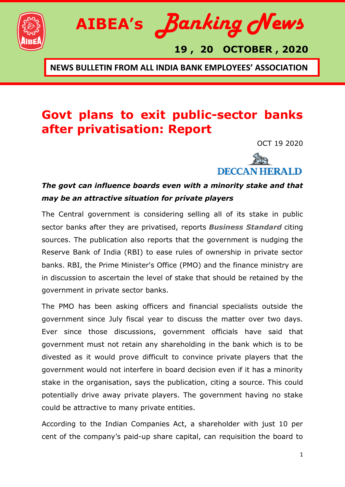



 **19 , 20 OCTOBER , 2020**

**NEWS BULLETIN FROM ALL INDIA BANK EMPLOYEES' ASSOCIATION**

### **Govt plans to exit public-sector banks after privatisation: Report**

OCT 19 2020



#### *The govt can influence boards even with a minority stake and that may be an attractive situation for private players*

The Central government is considering selling all of its stake in public sector banks after they are privatised, reports *Business [Standard](https://www.business-standard.com/article/finance/centre-may-have-no-stake-in-public-sector-banks-after-privatisation-120101900050_1.html)* citing sources. The publication also reports that the government is nudging the Reserve Bank of India (RBI) to ease rules of ownership in private sector banks. RBI, the Prime Minister's Office (PMO) and the finance ministry are in discussion to ascertain the level of stake that should be retained by the government in private sector banks.

The PMO has been asking officers and financial specialists outside the government since July fiscal year to discuss the matter over two days. Ever since those discussions, government officials have said that government must not retain any shareholding in the bank which is to be divested as it would prove difficult to convince private players that the government would not interfere in board decision even if it has a minority stake in the organisation, says the publication, citing a source. This could potentially drive away private players. The government having no stake could be attractive to many private entities.

According to the Indian Companies Act, a shareholder with just 10 per cent of the company's paid-up share capital, can requisition the board to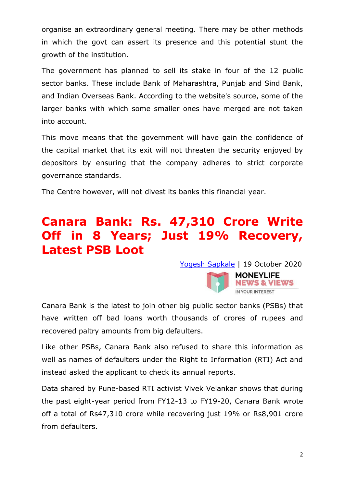organise an extraordinary general meeting. There may be other methods in which the govt can assert its presence and this potential stunt the growth of the institution.

The government has planned to sell its stake in four of the 12 public sector banks. These include Bank of Maharashtra, Punjab and Sind Bank, and Indian Overseas Bank. According to the website's source, some of the larger banks with which some smaller ones have merged are not taken into account.

This move means that the government will have gain the confidence of the capital market that its exit will not threaten the security enjoyed by depositors by ensuring that the company adheres to strict corporate governance standards.

The Centre however, will not divest its banks this financial year.

## **Canara Bank: Rs. 47,310 Crore Write Off in 8 Years; Just 19% Recovery, Latest PSB Loot**

Yogesh [Sapkale](https://www.moneylife.in/author/yogesh-sapkale.html) | 19 October 2020



Canara Bank is the latest to join other big public sector banks (PSBs) that have written off bad loans worth thousands of crores of rupees and recovered paltry amounts from big defaulters.

Like other PSBs, Canara Bank also refused to share this information as well as names of defaulters under the Right to Information (RTI) Act and instead asked the applicant to check its annual reports.

Data shared by Pune-based RTI activist Vivek Velankar shows that during the past eight-year period from FY12-13 to FY19-20, Canara Bank wrote off a total of Rs47,310 crore while recovering just 19% or Rs8,901 crore from defaulters.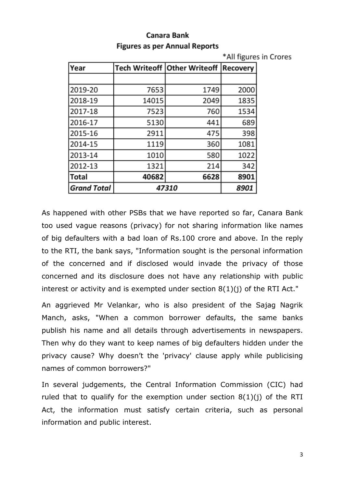|                    |       |                                     | *All figures in Crores |  |
|--------------------|-------|-------------------------------------|------------------------|--|
| Year               |       | <b>Tech Writeoff Other Writeoff</b> | Recovery               |  |
|                    |       |                                     |                        |  |
| 2019-20            | 7653  | 1749                                | 2000                   |  |
| 2018-19            | 14015 | 2049                                | 1835                   |  |
| 2017-18            | 7523  | 760                                 | 1534                   |  |
| 2016-17            | 5130  | 441                                 | 689                    |  |
| 2015-16            | 2911  | 475                                 | 398                    |  |
| 2014-15            | 1119  | 360                                 | 1081                   |  |
| 2013-14            | 1010  | 580                                 | 1022                   |  |
| 2012-13            | 1321  | 214                                 | 342                    |  |
| <b>Total</b>       | 40682 | 6628                                | 8901                   |  |
| <b>Grand Total</b> | 47310 |                                     | 8901                   |  |

#### **Canara Bank Figures as per Annual Reports**

As happened with other PSBs that we have reported so far, Canara Bank too used vague reasons (privacy) for not sharing information like names of big defaulters with a bad loan of Rs.100 crore and above. In the reply to the RTI, the bank says, "Information sought is the personal information of the concerned and if disclosed would invade the privacy of those concerned and its disclosure does not have any relationship with public interest or activity and is exempted under section 8(1)(j) of the RTI Act."

An aggrieved Mr Velankar, who is also president of the Sajag Nagrik Manch, asks, "When a common borrower defaults, the same banks publish his name and all details through advertisements in newspapers. Then why do they want to keep names of big defaulters hidden under the privacy cause? Why doesn't the 'privacy' clause apply while publicising names of common borrowers?"

In several judgements, the Central Information Commission (CIC) had ruled that to qualify for the exemption under section  $8(1)(i)$  of the RTI Act, the information must satisfy certain criteria, such as personal information and public interest.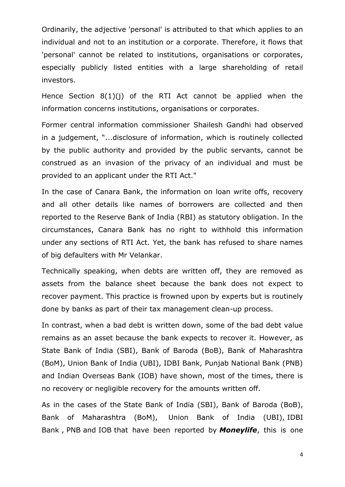Ordinarily, the adjective 'personal' is attributed to that which applies to an individual and not to an institution or a corporate. Therefore, it flows that 'personal' cannot be related to institutions, organisations or corporates, especially publicly listed entities with a large shareholding of retail investors.

Hence Section 8(1)(j) of the RTI Act cannot be applied when the information concerns institutions, organisations or corporates.

Former central information commissioner Shailesh Gandhi had observed in a judgement, "...disclosure of information, which is routinely collected by the public authority and provided by the public servants, cannot be construed as an invasion of the privacy of an individual and must be provided to an applicant under the RTI Act."

In the case of Canara Bank, the information on loan write offs, recovery and all other details like names of borrowers are collected and then reported to the Reserve Bank of India (RBI) as statutory obligation. In the circumstances, Canara Bank has no right to withhold this information under any sections of RTI Act. Yet, the bank has refused to share names of big defaulters with Mr Velankar.

Technically speaking, when debts are written off, they are removed as assets from the balance sheet because the bank does not expect to recover payment. This practice is frowned upon by experts but is routinely done by banks as part of their tax management clean-up process.

In contrast, when a bad debt is written down, some of the bad debt value remains as an asset because the bank expects to recover it. However, as State Bank of India (SBI), Bank of Baroda (BoB), Bank of Maharashtra (BoM), Union Bank of India (UBI), IDBI Bank, Punjab National Bank (PNB) and Indian Overseas Bank (IOB) have shown, most of the times, there is no recovery or negligible recovery for the amounts written off.

As in the cases of the State Bank of India (SBI), Bank of [Baroda](https://www.moneylife.in/article/sbi-writes-off-rs123-lakh-crore-of-bad-debt-recovers-paltry-rs8969-crore-in-8-years/60905.html) (BoB), Bank of [Maharashtra](https://www.moneylife.in/article/sbi-writes-off-rs123-lakh-crore-of-bad-debt-recovers-paltry-rs8969-crore-in-8-years/60905.html) (BoM), Union Bank of India (UBI), [IDBI](https://www.moneylife.in/article/idbi-bank-wrote-off-rs45693-crore-bad-loans-and-recovered-just-8-percentage-in-7-years/61434.html) [Bank](https://www.moneylife.in/article/idbi-bank-wrote-off-rs45693-crore-bad-loans-and-recovered-just-8-percentage-in-7-years/61434.html) , [PNB](https://www.moneylife.in/article/punjab-national-bank-wrote-off-rs31966-crore-in-past-4-years-recovered-only-22-percentage-from-big-defaulters/61617.html) and [IOB](https://www.moneylife.in/article/indian-overseas-bank-another-psb-to-write-off-rs41392-crore-in-8-years-recovers-just-17-percentage/61735.html) that have been reported by *Moneylife*, this is one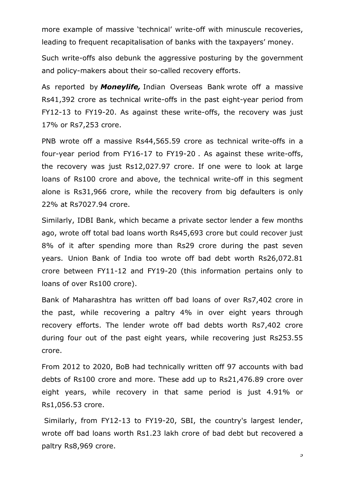more example of massive 'technical' write-off with minuscule recoveries, leading to frequent recapitalisation of banks with the taxpayers' money.

Such write-offs also debunk the aggressive posturing by the government and policy-makers about their so-called recovery efforts.

As reported by *Moneylife,* Indian [Overseas](https://www.moneylife.in/article/indian-overseas-bank-another-psb-to-write-off-rs41392-crore-in-8-years-recovers-just-17-percentage/61735.html) Bank wrote off a massive Rs41,392 crore as technical write-offs in the past eight-year period from FY12-13 to FY19-20. As against these write-offs, the recovery was just 17% or Rs7,253 crore.

PNB wrote off a massive [Rs44,565.59](https://www.moneylife.in/article/punjab-national-bank-wrote-off-rs31966-crore-in-past-4-years-recovered-only-22-percentage-from-big-defaulters/61617.html) crore as technical write-offs in a [four-year](https://www.moneylife.in/article/punjab-national-bank-wrote-off-rs31966-crore-in-past-4-years-recovered-only-22-percentage-from-big-defaulters/61617.html) period from FY16-17 to FY19-20 . As against these write-offs, the recovery was just Rs12,027.97 crore. If one were to look at large loans of Rs100 crore and above, the technical write-off in this segment alone is Rs31,966 crore, while the recovery from big defaulters is only 22% at Rs7027.94 crore.

Similarly, IDBI Bank, which became a private sector lender a few months ago, wrote off total bad loans worth Rs45,693 crore but could recover just 8% of it after spending more than Rs29 crore during the past seven years. Union Bank of India too wrote off bad debt worth Rs26,072.81 crore between FY11-12 and FY19-20 (this information pertains only to loans of over Rs100 crore).

Bank of Maharashtra has written off bad loans of over Rs7,402 crore in the past, while recovering a paltry 4% in over eight years through recovery efforts. The lender wrote off bad debts worth Rs7,402 crore during four out of the past eight years, while recovering just Rs253.55 crore.

From 2012 to 2020, BoB had technically written off 97 accounts with bad debts of Rs100 crore and more. These add up to Rs21,476.89 crore over eight years, while recovery in that same period is just 4.91% or Rs1,056.53 crore.

Similarly, from FY12-13 to FY19-20, SBI, the country's largest lender, wrote off bad loans worth Rs1.23 lakh crore of bad debt but recovered a paltry Rs8,969 crore.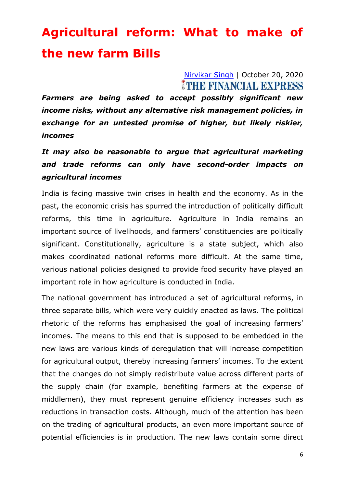# **Agricultural reform: What to make of the new farm Bills**

#### [Nirvikar Singh](https://www.financialexpress.com/author/nirvikar-singh/) | October 20, 2020 THE FINANCIAL EXPRESS

*Farmers are being asked to accept possibly significant new income risks, without any alternative risk management policies, in exchange for an untested promise of higher, but likely riskier, incomes*

### *It may also be reasonable to argue that agricultural marketing and trade reforms can only have second-order impacts on agricultural incomes*

India is facing massive twin crises in health and the economy. As in the past, the economic crisis has spurred the introduction of politically difficult reforms, this time in agriculture. Agriculture in India remains an important source of livelihoods, and farmers' constituencies are politically significant. Constitutionally, agriculture is a state subject, which also makes coordinated national reforms more difficult. At the same time, various national policies designed to provide food security have played an important role in how agriculture is conducted in India.

The national government has introduced a set of agricultural reforms, in three separate bills, which were very quickly enacted as laws. The political rhetoric of the reforms has emphasised the goal of increasing farmers' incomes. The means to this end that is supposed to be embedded in the new laws are various kinds of deregulation that will increase competition for agricultural output, thereby increasing farmers' incomes. To the extent that the changes do not simply redistribute value across different parts of the supply chain (for example, benefiting farmers at the expense of middlemen), they must represent genuine efficiency increases such as reductions in transaction costs. Although, much of the attention has been on the trading of agricultural products, an even more important source of potential efficiencies is in production. The new laws contain some direct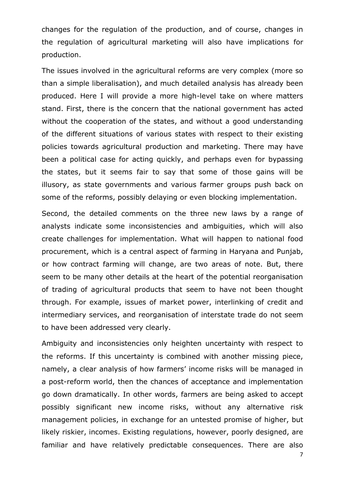changes for the regulation of the production, and of course, changes in the regulation of agricultural marketing will also have implications for production.

The issues involved in the agricultural reforms are very complex (more so than a simple liberalisation), and much detailed analysis has already been produced. Here I will provide a more high-level take on where matters stand. First, there is the concern that the national government has acted without the cooperation of the states, and without a good understanding of the different situations of various states with respect to their existing policies towards agricultural production and marketing. There may have been a political case for acting quickly, and perhaps even for bypassing the states, but it seems fair to say that some of those gains will be illusory, as state governments and various farmer groups push back on some of the reforms, possibly delaying or even blocking implementation.

Second, the detailed comments on the three new laws by a range of analysts indicate some inconsistencies and ambiguities, which will also create challenges for implementation. What will happen to national food procurement, which is a central aspect of farming in Haryana and Punjab, or how contract farming will change, are two areas of note. But, there seem to be many other details at the heart of the potential reorganisation of trading of agricultural products that seem to have not been thought through. For example, issues of market power, interlinking of credit and intermediary services, and reorganisation of interstate trade do not seem to have been addressed very clearly.

Ambiguity and inconsistencies only heighten uncertainty with respect to the reforms. If this uncertainty is combined with another missing piece, namely, a clear analysis of how farmers' income risks will be managed in a post-reform world, then the chances of acceptance and implementation go down dramatically. In other words, farmers are being asked to accept possibly significant new income risks, without any alternative risk management policies, in exchange for an untested promise of higher, but likely riskier, incomes. Existing regulations, however, poorly designed, are familiar and have relatively predictable consequences. There are also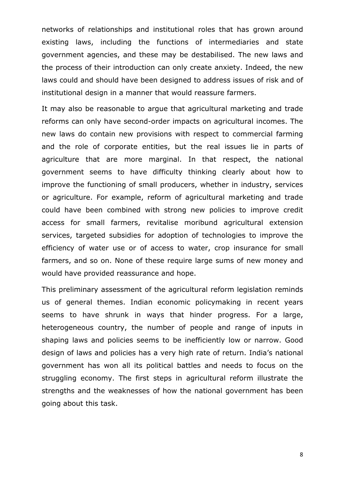networks of relationships and institutional roles that has grown around existing laws, including the functions of intermediaries and state government agencies, and these may be destabilised. The new laws and the process of their introduction can only create anxiety. Indeed, the new laws could and should have been designed to address issues of risk and of institutional design in a manner that would reassure farmers.

It may also be reasonable to argue that agricultural marketing and trade reforms can only have second-order impacts on agricultural incomes. The new laws do contain new provisions with respect to commercial farming and the role of corporate entities, but the real issues lie in parts of agriculture that are more marginal. In that respect, the national government seems to have difficulty thinking clearly about how to improve the functioning of small producers, whether in industry, services or agriculture. For example, reform of agricultural marketing and trade could have been combined with strong new policies to improve credit access for small farmers, revitalise moribund agricultural extension services, targeted subsidies for adoption of technologies to improve the efficiency of water use or of access to water, crop insurance for small farmers, and so on. None of these require large sums of new money and would have provided reassurance and hope.

This preliminary assessment of the agricultural reform legislation reminds us of general themes. Indian economic policymaking in recent years seems to have shrunk in ways that hinder progress. For a large, heterogeneous country, the number of people and range of inputs in shaping laws and policies seems to be inefficiently low or narrow. Good design of laws and policies has a very high rate of return. India's national government has won all its political battles and needs to focus on the struggling economy. The first steps in agricultural reform illustrate the strengths and the weaknesses of how the national government has been going about this task.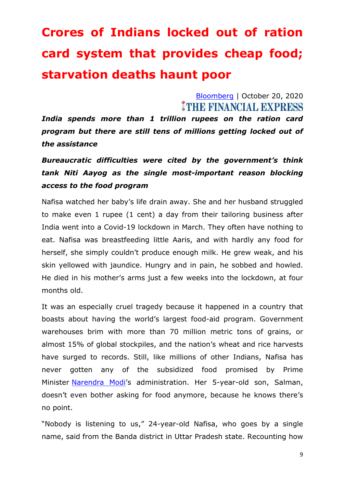# **Crores of Indians locked out of ration card system that provides cheap food; starvation deaths haunt poor**

[Bloomberg](https://www.financialexpress.com/author/bloomberg/) | October 20, 2020 *ITHE FINANCIAL EXPRESS* 

*India spends more than 1 trillion rupees on the ration card program but there are still tens of millions getting locked out of the assistance*

*Bureaucratic difficulties were cited by the government's think tank Niti Aayog as the single most-important reason blocking access to the food program*

Nafisa watched her baby's life drain away. She and her husband struggled to make even 1 rupee (1 cent) a day from their tailoring business after India went into a Covid-19 lockdown in March. They often have nothing to eat. Nafisa was breastfeeding little Aaris, and with hardly any food for herself, she simply couldn't produce enough milk. He grew weak, and his skin yellowed with jaundice. Hungry and in pain, he sobbed and howled. He died in his mother's arms just a few weeks into the lockdown, at four months old.

It was an especially cruel tragedy because it happened in a country that boasts about having the world's largest food-aid program. Government warehouses brim with more than 70 million metric tons of grains, or almost 15% of global stockpiles, and the nation's wheat and rice harvests have surged to records. Still, like millions of other Indians, Nafisa has never gotten any of the subsidized food promised by Prime Minister [Narendra](https://www.financialexpress.com/tag/narendra-modi/) Modi's administration. Her 5-year-old son, Salman, doesn't even bother asking for food anymore, because he knows there's no point.

"Nobody is listening to us," 24-year-old Nafisa, who goes by a single name, said from the Banda district in Uttar Pradesh state. Recounting how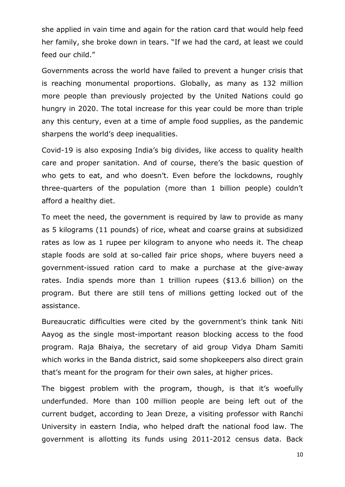she applied in vain time and again for the ration card that would help feed her family, she broke down in tears. "If we had the card, at least we could feed our child."

Governments across the world have failed to prevent a hunger crisis that is reaching monumental proportions. Globally, as many as 132 million more people than previously projected by the United Nations could go hungry in 2020. The total increase for this year could be more than triple any this century, even at a time of ample food supplies, as the pandemic sharpens the world's deep inequalities.

Covid-19 is also exposing India's big divides, like access to quality health care and proper sanitation. And of course, there's the basic question of who gets to eat, and who doesn't. Even before the lockdowns, roughly three-quarters of the population (more than 1 billion people) couldn't afford a healthy diet.

To meet the need, the government is required by law to provide as many as 5 kilograms (11 pounds) of rice, wheat and coarse grains at subsidized rates as low as 1 rupee per kilogram to anyone who needs it. The cheap staple foods are sold at so-called fair price shops, where buyers need a government-issued ration card to make a purchase at the give-away rates. India spends more than 1 trillion rupees (\$13.6 billion) on the program. But there are still tens of millions getting locked out of the assistance.

Bureaucratic difficulties were cited by the government's think tank Niti Aayog as the single most-important reason blocking access to the food program. Raja Bhaiya, the secretary of aid group Vidya Dham Samiti which works in the Banda district, said some shopkeepers also direct grain that's meant for the program for their own sales, at higher prices.

The biggest problem with the program, though, is that it's woefully underfunded. More than 100 million people are being left out of the current budget, according to Jean Dreze, a visiting professor with Ranchi University in eastern India, who helped draft the national food law. The government is allotting its funds using 2011-2012 census data. Back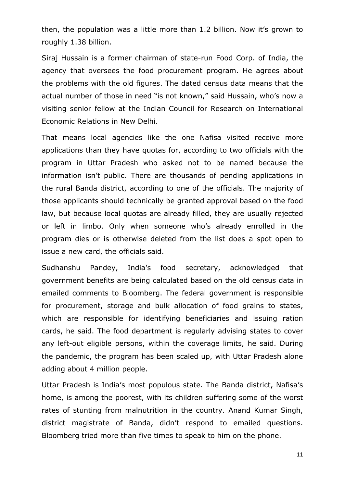then, the population was a little more than 1.2 billion. Now it's grown to roughly 1.38 billion.

Siraj Hussain is a former chairman of state-run Food Corp. of India, the agency that oversees the food procurement program. He agrees about the problems with the old figures. The dated census data means that the actual number of those in need "is not known," said Hussain, who's now a visiting senior fellow at the Indian Council for Research on International Economic Relations in New Delhi.

That means local agencies like the one Nafisa visited receive more applications than they have quotas for, according to two officials with the program in Uttar Pradesh who asked not to be named because the information isn't public. There are thousands of pending applications in the rural Banda district, according to one of the officials. The majority of those applicants should technically be granted approval based on the food law, but because local quotas are already filled, they are usually rejected or left in limbo. Only when someone who's already enrolled in the program dies or is otherwise deleted from the list does a spot open to issue a new card, the officials said.

Sudhanshu Pandey, India's food secretary, acknowledged that government benefits are being calculated based on the old census data in emailed comments to Bloomberg. The federal government is responsible for procurement, storage and bulk allocation of food grains to states, which are responsible for identifying beneficiaries and issuing ration cards, he said. The food department is regularly advising states to cover any left-out eligible persons, within the coverage limits, he said. During the pandemic, the program has been scaled up, with Uttar Pradesh alone adding about 4 million people.

Uttar Pradesh is India's most populous state. The Banda district, Nafisa's home, is among the poorest, with its children suffering some of the worst rates of stunting from malnutrition in the country. Anand Kumar Singh, district magistrate of Banda, didn't respond to emailed questions. Bloomberg tried more than five times to speak to him on the phone.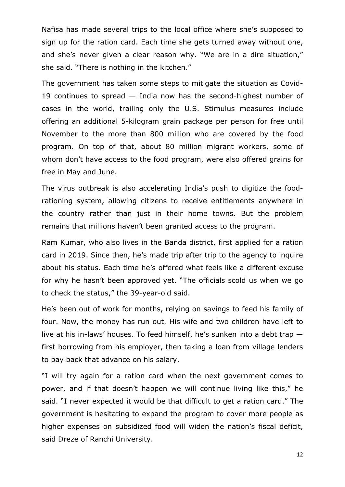Nafisa has made several trips to the local office where she's supposed to sign up for the ration card. Each time she gets turned away without one, and she's never given a clear reason why. "We are in a dire situation," she said. "There is nothing in the kitchen."

The government has taken some steps to mitigate the situation as Covid-19 continues to spread — India now has the second-highest number of cases in the world, trailing only the U.S. Stimulus measures include offering an additional 5-kilogram grain package per person for free until November to the more than 800 million who are covered by the food program. On top of that, about 80 million migrant workers, some of whom don't have access to the food program, were also offered grains for free in May and June.

The virus outbreak is also accelerating India's push to digitize the foodrationing system, allowing citizens to receive entitlements anywhere in the country rather than just in their home towns. But the problem remains that millions haven't been granted access to the program.

Ram Kumar, who also lives in the Banda district, first applied for a ration card in 2019. Since then, he's made trip after trip to the agency to inquire about his status. Each time he's offered what feels like a different excuse for why he hasn't been approved yet. "The officials scold us when we go to check the status," the 39-year-old said.

He's been out of work for months, relying on savings to feed his family of four. Now, the money has run out. His wife and two children have left to live at his in-laws' houses. To feed himself, he's sunken into a debt trap first borrowing from his employer, then taking a loan from village lenders to pay back that advance on his salary.

"I will try again for a ration card when the next government comes to power, and if that doesn't happen we will continue living like this," he said. "I never expected it would be that difficult to get a ration card." The government is hesitating to expand the program to cover more people as higher expenses on subsidized food will widen the nation's fiscal deficit, said Dreze of Ranchi University.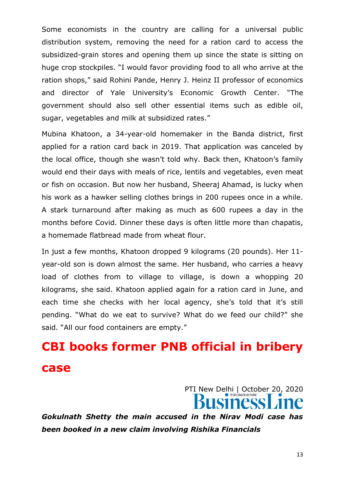Some economists in the country are calling for a universal public distribution system, removing the need for a ration card to access the subsidized-grain stores and opening them up since the state is sitting on huge crop stockpiles. "I would favor providing food to all who arrive at the ration shops," said Rohini Pande, Henry J. Heinz II professor of economics and director of Yale University's Economic Growth Center. "The government should also sell other essential items such as edible oil, sugar, vegetables and milk at subsidized rates."

Mubina Khatoon, a 34-year-old homemaker in the Banda district, first applied for a ration card back in 2019. That application was canceled by the local office, though she wasn't told why. Back then, Khatoon's family would end their days with meals of rice, lentils and vegetables, even meat or fish on occasion. But now her husband, Sheeraj Ahamad, is lucky when his work as a hawker selling clothes brings in 200 rupees once in a while. A stark turnaround after making as much as 600 rupees a day in the months before Covid. Dinner these days is often little more than chapatis, a homemade flatbread made from wheat flour.

In just a few months, Khatoon dropped 9 kilograms (20 pounds). Her 11 year-old son is down almost the same. Her husband, who carries a heavy load of clothes from to village to village, is down a whopping 20 kilograms, she said. Khatoon applied again for a ration card in June, and each time she checks with her local agency, she's told that it's still pending. "What do we eat to survive? What do we feed our child?" she said. "All our food containers are empty."

# **CBI books former PNB official in bribery case**

PTI New Delhi | October 20, 2020

*Gokulnath Shetty the main accused in the Nirav Modi case has been booked in a new claim involving Rishika Financials*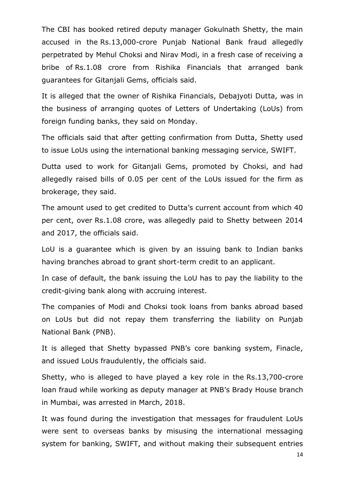The CBI has booked retired deputy manager Gokulnath Shetty, the main accused in the Rs.13,000-crore Punjab National Bank fraud allegedly perpetrated by Mehul Choksi and Nirav Modi, in a fresh case of receiving a bribe of Rs.1.08 crore from Rishika Financials that arranged bank guarantees for Gitanjali Gems, officials said.

It is alleged that the owner of Rishika Financials, Debajyoti Dutta, was in the business of arranging quotes of Letters of Undertaking (LoUs) from foreign funding banks, they said on Monday.

The officials said that after getting confirmation from Dutta, Shetty used to issue LoUs using the international banking messaging service, SWIFT.

Dutta used to work for Gitanjali Gems, promoted by Choksi, and had allegedly raised bills of 0.05 per cent of the LoUs issued for the firm as brokerage, they said.

The amount used to get credited to Dutta's current account from which 40 per cent, over Rs.1.08 crore, was allegedly paid to Shetty between 2014 and 2017, the officials said.

LoU is a guarantee which is given by an issuing bank to Indian banks having branches abroad to grant short-term credit to an applicant.

In case of default, the bank issuing the LoU has to pay the liability to the credit-giving bank along with accruing interest.

The companies of Modi and Choksi took loans from banks abroad based on LoUs but did not repay them transferring the liability on Punjab National Bank (PNB).

It is alleged that Shetty bypassed PNB's core banking system, Finacle, and issued LoUs fraudulently, the officials said.

Shetty, who is alleged to have played a key role in the Rs.13,700-crore loan fraud while working as deputy manager at PNB's Brady House branch in Mumbai, was arrested in March, 2018.

It was found during the investigation that messages for fraudulent LoUs were sent to overseas banks by misusing the international messaging system for banking, SWIFT, and without making their subsequent entries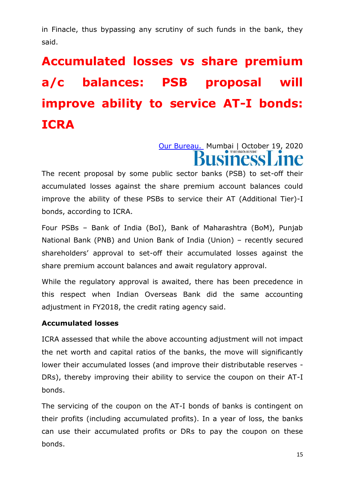in Finacle, thus bypassing any scrutiny of such funds in the bank, they said.

# **Accumulated losses vs share premium a/c balances: PSB proposal will improve ability to service AT-I bonds: ICRA**

[Our Bureau.](https://www.thehindubusinessline.com/profile/author/Our-Bureau-137009/) Mumbai | October 19, 2020

The recent proposal by some public sector banks (PSB) to set-off their accumulated losses against the share premium account balances could improve the ability of these PSBs to service their AT (Additional Tier)-I bonds, according to ICRA.

Four PSBs – Bank of India (BoI), Bank of Maharashtra (BoM), Punjab National Bank (PNB) and Union Bank of India (Union) – recently secured shareholders' approval to set-off their accumulated losses against the share premium account balances and await regulatory approval.

While the regulatory approval is awaited, there has been precedence in this respect when Indian Overseas Bank did the same accounting adjustment in FY2018, the credit rating agency said.

#### **Accumulated losses**

ICRA assessed that while the above accounting adjustment will not impact the net worth and capital ratios of the banks, the move will significantly lower their accumulated losses (and improve their distributable reserves - DRs), thereby improving their ability to service the coupon on their AT-I bonds.

The servicing of the coupon on the AT-I bonds of banks is contingent on their profits (including accumulated profits). In a year of loss, the banks can use their accumulated profits or DRs to pay the coupon on these bonds.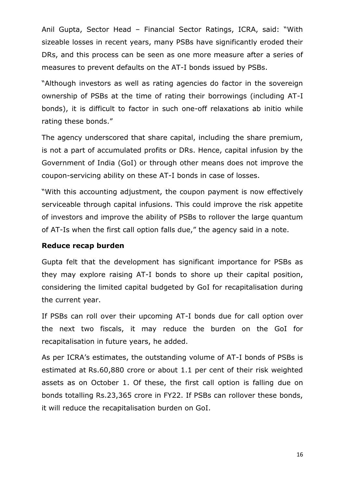Anil Gupta, Sector Head – Financial Sector Ratings, ICRA, said: "With sizeable losses in recent years, many PSBs have significantly eroded their DRs, and this process can be seen as one more measure after a series of measures to prevent defaults on the AT-I bonds issued by PSBs.

"Although investors as well as rating agencies do factor in the sovereign ownership of PSBs at the time of rating their borrowings (including AT-I bonds), it is difficult to factor in such one-off relaxations ab initio while rating these bonds."

The agency underscored that share capital, including the share premium, is not a part of accumulated profits or DRs. Hence, capital infusion by the Government of India (GoI) or through other means does not improve the coupon-servicing ability on these AT-I bonds in case of losses.

"With this accounting adjustment, the coupon payment is now effectively serviceable through capital infusions. This could improve the risk appetite of investors and improve the ability of PSBs to rollover the large quantum of AT-Is when the first call option falls due," the agency said in a note.

#### **Reduce recap burden**

Gupta felt that the development has significant importance for PSBs as they may explore raising AT-I bonds to shore up their capital position, considering the limited capital budgeted by GoI for recapitalisation during the current year.

If PSBs can roll over their upcoming AT-I bonds due for call option over the next two fiscals, it may reduce the burden on the GoI for recapitalisation in future years, he added.

As per ICRA's estimates, the outstanding volume of AT-I bonds of PSBs is estimated at Rs.60,880 crore or about 1.1 per cent of their risk weighted assets as on October 1. Of these, the first call option is falling due on bonds totalling Rs.23,365 crore in FY22. If PSBs can rollover these bonds, it will reduce the recapitalisation burden on GoI.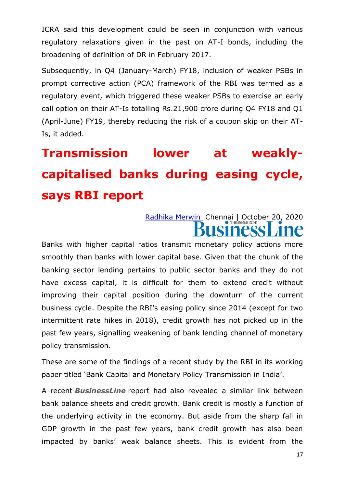ICRA said this development could be seen in conjunction with various regulatory relaxations given in the past on AT-I bonds, including the broadening of definition of DR in February 2017.

Subsequently, in Q4 (January-March) FY18, inclusion of weaker PSBs in prompt corrective action (PCA) framework of the RBI was termed as a regulatory event, which triggered these weaker PSBs to exercise an early call option on their AT-Is totalling Rs.21,900 crore during Q4 FY18 and Q1 (April-June) FY19, thereby reducing the risk of a coupon skip on their AT-Is, it added.

# **Transmission lower at weaklycapitalised banks during easing cycle, says RBI report**

### [Radhika Merwin](https://www.thehindubusinessline.com/profile/author/Radhika-Merwin-23009/) Chennai | October 20, 2020 **Siness**

Banks with higher capital ratios transmit monetary policy actions more smoothly than banks with lower capital base. Given that the chunk of the banking sector lending pertains to public sector banks and they do not have excess capital, it is difficult for them to extend credit without improving their capital position during the downturn of the current business cycle. Despite the RBI's easing policy since 2014 (except for two intermittent rate hikes in 2018), credit growth has not picked up in the past few years, signalling weakening of bank lending channel of monetary policy transmission.

These are some of the findings of a recent study by the RBI in its working paper titled 'Bank Capital and Monetary Policy Transmission in India'.

A recent *BusinessLine* report had also revealed a similar link between bank balance sheets and credit growth. Bank credit is mostly a function of the underlying activity in the economy. But aside from the sharp fall in GDP growth in the past few years, bank credit growth has also been impacted by banks' weak balance sheets. This is evident from the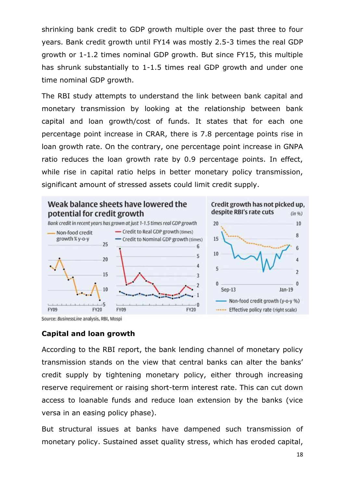shrinking bank credit to GDP growth multiple over the past three to four years. Bank credit growth until FY14 was mostly 2.5-3 times the real GDP growth or 1-1.2 times nominal GDP growth. But since FY15, this multiple has shrunk substantially to 1-1.5 times real GDP growth and under one time nominal GDP growth.

The RBI study attempts to understand the link between bank capital and monetary transmission by looking at the relationship between bank capital and loan growth/cost of funds. It states that for each one percentage point increase in CRAR, there is 7.8 percentage points rise in loan growth rate. On the contrary, one percentage point increase in GNPA ratio reduces the loan growth rate by 0.9 percentage points. In effect, while rise in capital ratio helps in better monetary policy transmission, significant amount of stressed assets could limit credit supply.



Source: BusinessLine analysis, RBI, Mospi

#### **Capital and loan growth**

According to the RBI report, the bank lending channel of monetary policy transmission stands on the view that central banks can alter the banks' credit supply by tightening monetary policy, either through increasing reserve requirement or raising short-term interest rate. This can cut down access to loanable funds and reduce loan extension by the banks (vice versa in an easing policy phase).

But structural issues at banks have dampened such transmission of monetary policy. Sustained asset quality stress, which has eroded capital,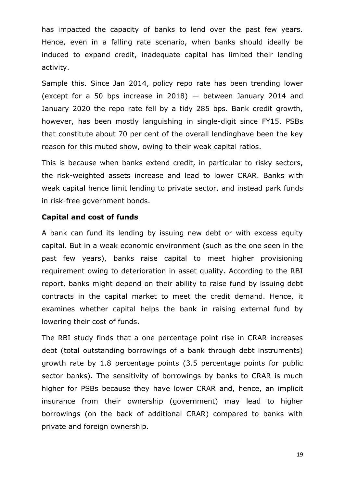has impacted the capacity of banks to lend over the past few years. Hence, even in a falling rate scenario, when banks should ideally be induced to expand credit, inadequate capital has limited their lending activity.

Sample this. Since Jan 2014, policy repo rate has been trending lower (except for a 50 bps increase in 2018) — between January 2014 and January 2020 the repo rate fell by a tidy 285 bps. Bank credit growth, however, has been mostly languishing in single-digit since FY15. PSBs that constitute about 70 per cent of the overall lendinghave been the key reason for this muted show, owing to their weak capital ratios.

This is because when banks extend credit, in particular to risky sectors, the risk-weighted assets increase and lead to lower CRAR. Banks with weak capital hence limit lending to private sector, and instead park funds in risk-free government bonds.

#### **Capital and cost of funds**

A bank can fund its lending by issuing new debt or with excess equity capital. But in a weak economic environment (such as the one seen in the past few years), banks raise capital to meet higher provisioning requirement owing to deterioration in asset quality. According to the RBI report, banks might depend on their ability to raise fund by issuing debt contracts in the capital market to meet the credit demand. Hence, it examines whether capital helps the bank in raising external fund by lowering their cost of funds.

The RBI study finds that a one percentage point rise in CRAR increases debt (total outstanding borrowings of a bank through debt instruments) growth rate by 1.8 percentage points (3.5 percentage points for public sector banks). The sensitivity of borrowings by banks to CRAR is much higher for PSBs because they have lower CRAR and, hence, an implicit insurance from their ownership (government) may lead to higher borrowings (on the back of additional CRAR) compared to banks with private and foreign ownership.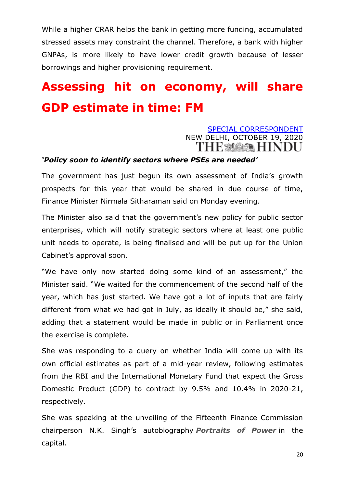While a higher CRAR helps the bank in getting more funding, accumulated stressed assets may constraint the channel. Therefore, a bank with higher GNPAs, is more likely to have lower credit growth because of lesser borrowings and higher provisioning requirement.

# **Assessing hit on economy, will share GDP estimate in time: FM**

#### [SPECIAL CORRESPONDENT](https://www.thehindu.com/business/Economy/assessing-hit-on-economy-will-share-gdp-estimate-in-time-fm/article32895474.ece?homepage=true) NEW DELHI, OCTOBER 19, 2020 **THE MOOR HINDU**

#### *'Policy soon to identify sectors where PSEs are needed'*

The government has just begun its own assessment of India's growth prospects for this year that would be shared in due course of time, Finance Minister Nirmala Sitharaman said on Monday evening.

The Minister also said that the government's new policy for public sector enterprises, which will notify strategic sectors where at least one public unit needs to operate, is being finalised and will be put up for the Union Cabinet's approval soon.

"We have only now started doing some kind of an assessment," the Minister said. ―We waited for the commencement of the second half of the year, which has just started. We have got a lot of inputs that are fairly different from what we had got in July, as ideally it should be," she said, adding that a statement would be made in public or in Parliament once the exercise is complete.

She was responding to a query on whether India will come up with its own official estimates as part of a mid-year review, following estimates from the RBI and the International Monetary Fund that expect the Gross Domestic Product (GDP) to contract by 9.5% and 10.4% in 2020-21, respectively.

She was speaking at the unveiling of the Fifteenth Finance Commission chairperson N.K. Singh's autobiography *Portraits of Power* in the capital.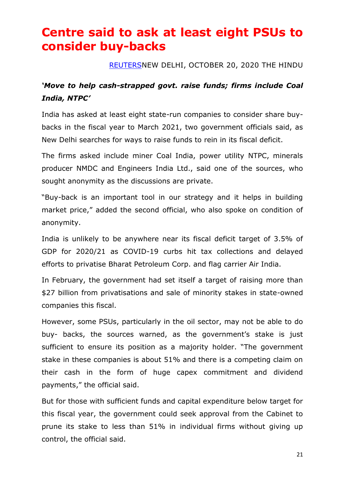### **Centre said to ask at least eight PSUs to consider buy-backs**

#### [REUTERSN](https://www.thehindu.com/business/Economy/centre-said-to-ask-at-least-eight-psus-to-consider-buy-backs/article32895233.ece)EW DELHI, OCTOBER 20, 2020 THE HINDU

#### *'Move to help cash-strapped govt. raise funds; firms include Coal India, NTPC'*

India has asked at least eight state-run companies to consider share buybacks in the fiscal year to March 2021, two government officials said, as New Delhi searches for ways to raise funds to rein in its fiscal deficit.

The firms asked include miner Coal India, power utility NTPC, minerals producer NMDC and Engineers India Ltd., said one of the sources, who sought anonymity as the discussions are private.

"Buy-back is an important tool in our strategy and it helps in building market price," added the second official, who also spoke on condition of anonymity.

India is unlikely to be anywhere near its fiscal deficit target of 3.5% of GDP for 2020/21 as COVID-19 curbs hit tax collections and delayed efforts to privatise Bharat Petroleum Corp. and flag carrier Air India.

In February, the government had set itself a target of raising more than \$27 billion from privatisations and sale of minority stakes in state-owned companies this fiscal.

However, some PSUs, particularly in the oil sector, may not be able to do buy- backs, the sources warned, as the government's stake is just sufficient to ensure its position as a majority holder. "The government stake in these companies is about 51% and there is a competing claim on their cash in the form of huge capex commitment and dividend payments," the official said.

But for those with sufficient funds and capital expenditure below target for this fiscal year, the government could seek approval from the Cabinet to prune its stake to less than 51% in individual firms without giving up control, the official said.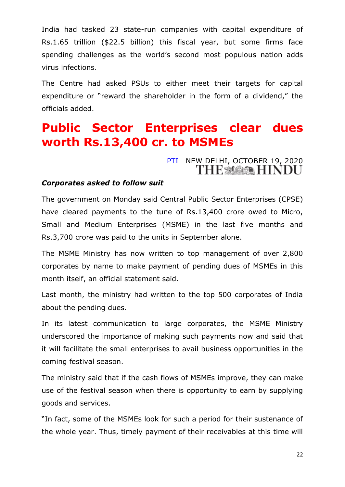India had tasked 23 state-run companies with capital expenditure of Rs.1.65 trillion (\$22.5 billion) this fiscal year, but some firms face spending challenges as the world's second most populous nation adds virus infections.

The Centre had asked PSUs to either meet their targets for capital expenditure or "reward the shareholder in the form of a dividend," the officials added.

### **Public Sector Enterprises clear dues worth Rs.13,400 cr. to MSMEs**

# [PTI](https://www.thehindu.com/business/Economy/public-sector-enterprises-clear-dues-to-msmes/article32891793.ece) NEW DELHI, OCTOBER 19, 2020

#### *Corporates asked to follow suit*

The government on Monday said Central Public Sector Enterprises (CPSE) have cleared payments to the tune of Rs.13,400 crore owed to Micro, Small and Medium Enterprises (MSME) in the last five months and Rs.3,700 crore was paid to the units in September alone.

The MSME Ministry has now written to top management of over 2,800 corporates by name to make payment of pending dues of MSMEs in this month itself, an official statement said.

Last month, the ministry had written to the top 500 corporates of India about the pending dues.

In its latest communication to large corporates, the MSME Ministry underscored the importance of making such payments now and said that it will facilitate the small enterprises to avail business opportunities in the coming festival season.

The ministry said that if the cash flows of MSMEs improve, they can make use of the festival season when there is opportunity to earn by supplying goods and services.

"In fact, some of the MSMEs look for such a period for their sustenance of the whole year. Thus, timely payment of their receivables at this time will